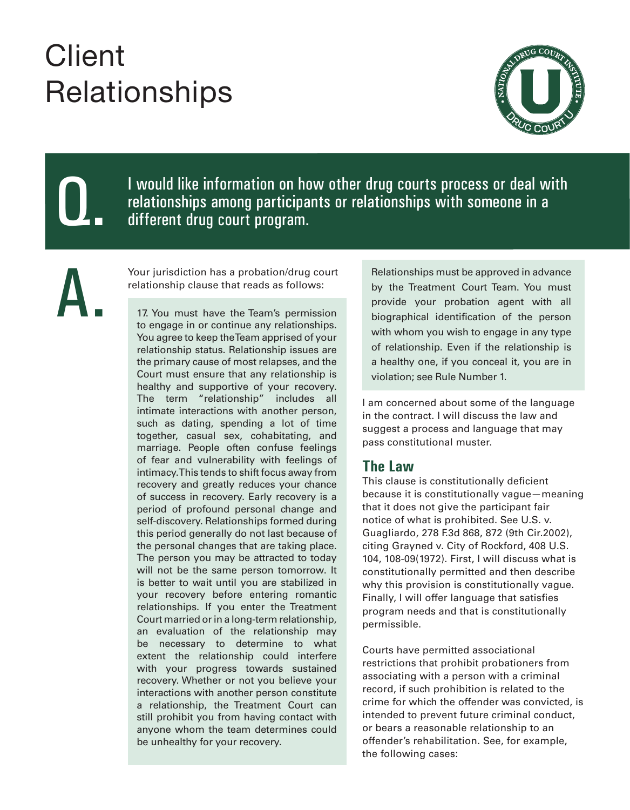# **Client Relationships**



Q.

I would like information on how other drug courts process or deal with relationships among participants or relationships with someone in a different drug court program.

A.

Your jurisdiction has a probation/drug court relationship clause that reads as follows:

17. You must have the Team's permission to engage in or continue any relationships. You agree to keep the Team apprised of your relationship status. Relationship issues are the primary cause of most relapses, and the Court must ensure that any relationship is healthy and supportive of your recovery. The term "relationship" includes all intimate interactions with another person, such as dating, spending a lot of time together, casual sex, cohabitating, and marriage. People often confuse feelings of fear and vulnerability with feelings of intimacy. This tends to shift focus away from recovery and greatly reduces your chance of success in recovery. Early recovery is a period of profound personal change and self-discovery. Relationships formed during this period generally do not last because of the personal changes that are taking place. The person you may be attracted to today will not be the same person tomorrow. It is better to wait until you are stabilized in your recovery before entering romantic relationships. If you enter the Treatment Court married or in a long-term relationship, an evaluation of the relationship may be necessary to determine to what extent the relationship could interfere with your progress towards sustained recovery. Whether or not you believe your interactions with another person constitute a relationship, the Treatment Court can still prohibit you from having contact with anyone whom the team determines could be unhealthy for your recovery.

Relationships must be approved in advance by the Treatment Court Team. You must provide your probation agent with all biographical identification of the person with whom you wish to engage in any type of relationship. Even if the relationship is a healthy one, if you conceal it, you are in violation; see Rule Number 1.

I am concerned about some of the language in the contract. I will discuss the law and suggest a process and language that may pass constitutional muster.

#### **The Law**

This clause is constitutionally deficient because it is constitutionally vague—meaning that it does not give the participant fair notice of what is prohibited. See U.S. v. Guagliardo, 278 F.3d 868, 872 (9th Cir.2002), citing Grayned v. City of Rockford, 408 U.S. 104, 108-09(1972). First, I will discuss what is constitutionally permitted and then describe why this provision is constitutionally vague. Finally, I will offer language that satisfies program needs and that is constitutionally permissible.

Courts have permitted associational restrictions that prohibit probationers from associating with a person with a criminal record, if such prohibition is related to the crime for which the offender was convicted, is intended to prevent future criminal conduct, or bears a reasonable relationship to an offender's rehabilitation. See, for example, the following cases: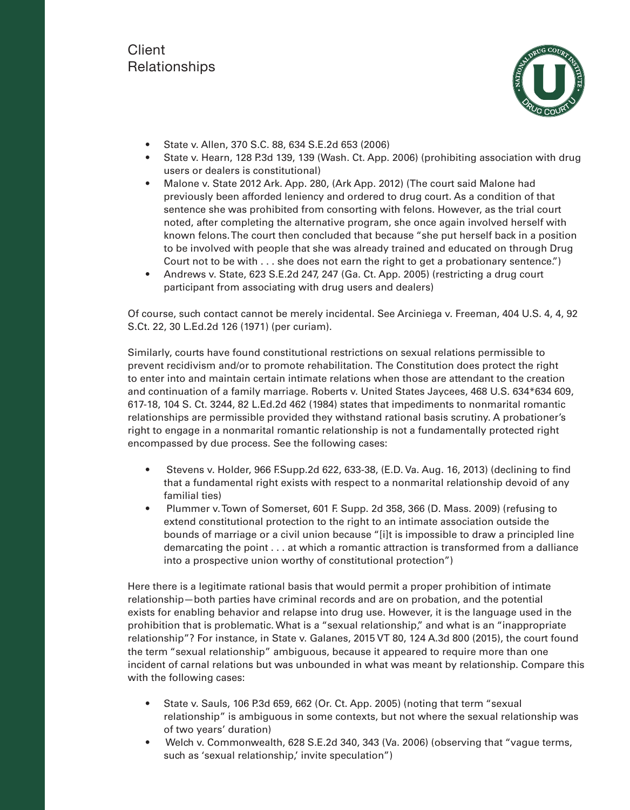#### **Client** Relationships



- State v. Allen, 370 S.C. 88, 634 S.E.2d 653 (2006)
- State v. Hearn, 128 P.3d 139, 139 (Wash. Ct. App. 2006) (prohibiting association with drug users or dealers is constitutional)
- Malone v. State 2012 Ark. App. 280, (Ark App. 2012) (The court said Malone had previously been afforded leniency and ordered to drug court. As a condition of that sentence she was prohibited from consorting with felons. However, as the trial court noted, after completing the alternative program, she once again involved herself with known felons. The court then concluded that because "she put herself back in a position to be involved with people that she was already trained and educated on through Drug Court not to be with . . . she does not earn the right to get a probationary sentence.")
- Andrews v. State, 623 S.E.2d 247, 247 (Ga. Ct. App. 2005) (restricting a drug court participant from associating with drug users and dealers)

Of course, such contact cannot be merely incidental. See Arciniega v. Freeman, 404 U.S. 4, 4, 92 S.Ct. 22, 30 L.Ed.2d 126 (1971) (per curiam).

Similarly, courts have found constitutional restrictions on sexual relations permissible to prevent recidivism and/or to promote rehabilitation. The Constitution does protect the right to enter into and maintain certain intimate relations when those are attendant to the creation and continuation of a family marriage. Roberts v. United States Jaycees, 468 U.S. 634\*634 609, 617-18, 104 S. Ct. 3244, 82 L.Ed.2d 462 (1984) states that impediments to nonmarital romantic relationships are permissible provided they withstand rational basis scrutiny. A probationer's right to engage in a nonmarital romantic relationship is not a fundamentally protected right encompassed by due process. See the following cases:

- Stevens v. Holder, 966 F.Supp.2d 622, 633-38, (E.D. Va. Aug. 16, 2013) (declining to find that a fundamental right exists with respect to a nonmarital relationship devoid of any familial ties)
- Plummer v. Town of Somerset, 601 F. Supp. 2d 358, 366 (D. Mass. 2009) (refusing to extend constitutional protection to the right to an intimate association outside the bounds of marriage or a civil union because "[i]t is impossible to draw a principled line demarcating the point . . . at which a romantic attraction is transformed from a dalliance into a prospective union worthy of constitutional protection")

Here there is a legitimate rational basis that would permit a proper prohibition of intimate relationship—both parties have criminal records and are on probation, and the potential exists for enabling behavior and relapse into drug use. However, it is the language used in the prohibition that is problematic. What is a "sexual relationship," and what is an "inappropriate relationship"? For instance, in State v. Galanes, 2015 VT 80, 124 A.3d 800 (2015), the court found the term "sexual relationship" ambiguous, because it appeared to require more than one incident of carnal relations but was unbounded in what was meant by relationship. Compare this with the following cases:

- State v. Sauls, 106 P.3d 659, 662 (Or. Ct. App. 2005) (noting that term "sexual relationship" is ambiguous in some contexts, but not where the sexual relationship was of two years' duration)
- Welch v. Commonwealth, 628 S.E.2d 340, 343 (Va. 2006) (observing that "vague terms, such as 'sexual relationship,' invite speculation")